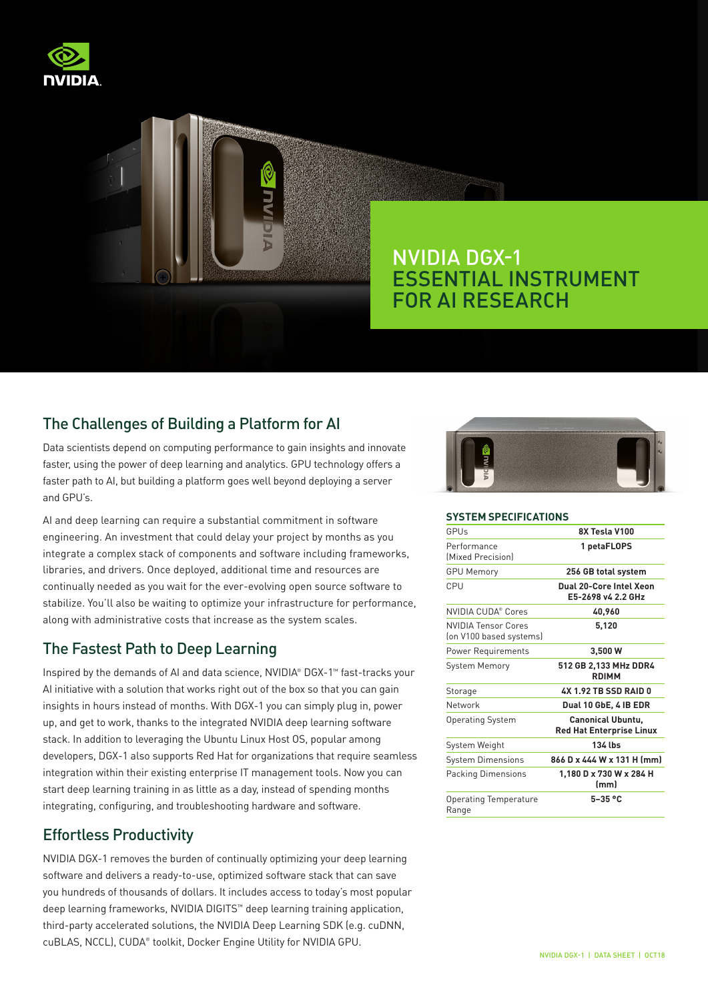



## The Challenges of Building a Platform for AI

Data scientists depend on computing performance to gain insights and innovate faster, using the power of deep learning and analytics. GPU technology offers a faster path to AI, but building a platform goes well beyond deploying a server and GPU's.

AI and deep learning can require a substantial commitment in software engineering. An investment that could delay your project by months as you integrate a complex stack of components and software including frameworks, libraries, and drivers. Once deployed, additional time and resources are continually needed as you wait for the ever-evolving open source software to stabilize. You'll also be waiting to optimize your infrastructure for performance, along with administrative costs that increase as the system scales.

### The Fastest Path to Deep Learning

Inspired by the demands of AI and data science, NVIDIA® DGX-1™ fast-tracks your AI initiative with a solution that works right out of the box so that you can gain insights in hours instead of months. With DGX-1 you can simply plug in, power up, and get to work, thanks to the integrated NVIDIA deep learning software stack. In addition to leveraging the Ubuntu Linux Host OS, popular among developers, DGX-1 also supports Red Hat for organizations that require seamless integration within their existing enterprise IT management tools. Now you can start deep learning training in as little as a day, instead of spending months integrating, configuring, and troubleshooting hardware and software.

# Effortless Productivity

NVIDIA DGX-1 removes the burden of continually optimizing your deep learning software and delivers a ready-to-use, optimized software stack that can save you hundreds of thousands of dollars. It includes access to today's most popular deep learning frameworks, NVIDIA DIGITS™ deep learning training application, third-party accelerated solutions, the NVIDIA Deep Learning SDK (e.g. cuDNN, cuBLAS, NCCL), CUDA® toolkit, Docker Engine Utility for NVIDIA GPU.



#### **SYSTEM SPECIFICATIONS**

| GPUs                                                  | 8X Tesla V100                                               |
|-------------------------------------------------------|-------------------------------------------------------------|
| Performance<br>Mixed Precisionl                       | 1 petaFLOPS                                                 |
| <b>GPU Memory</b>                                     | 256 GB total system                                         |
| CPU                                                   | Dual 20-Core Intel Xeon<br>E5-2698 v4 2.2 GHz               |
| NVIDIA CUDA® Cores                                    | 40,960                                                      |
| <b>NVIDIA Tensor Cores</b><br>(on V100 based systems) | 5,120                                                       |
| <b>Power Requirements</b>                             | 3,500 W                                                     |
| <b>System Memory</b>                                  | 512 GB 2,133 MHz DDR4<br><b>RDIMM</b>                       |
| Storage                                               | <b>4X 1.92 TB SSD RAID 0</b>                                |
| Network                                               | Dual 10 GbE, 4 IB EDR                                       |
| <b>Operating System</b>                               | <b>Canonical Ubuntu.</b><br><b>Red Hat Enterprise Linux</b> |
| System Weight                                         | 134 lbs                                                     |
| <b>System Dimensions</b>                              | 866 D x 444 W x 131 H (mm)                                  |
| Packing Dimensions                                    | 1,180 D x 730 W x 284 H<br>(mm)                             |
| Operating Temperature<br>Range                        | $5-35$ °C                                                   |